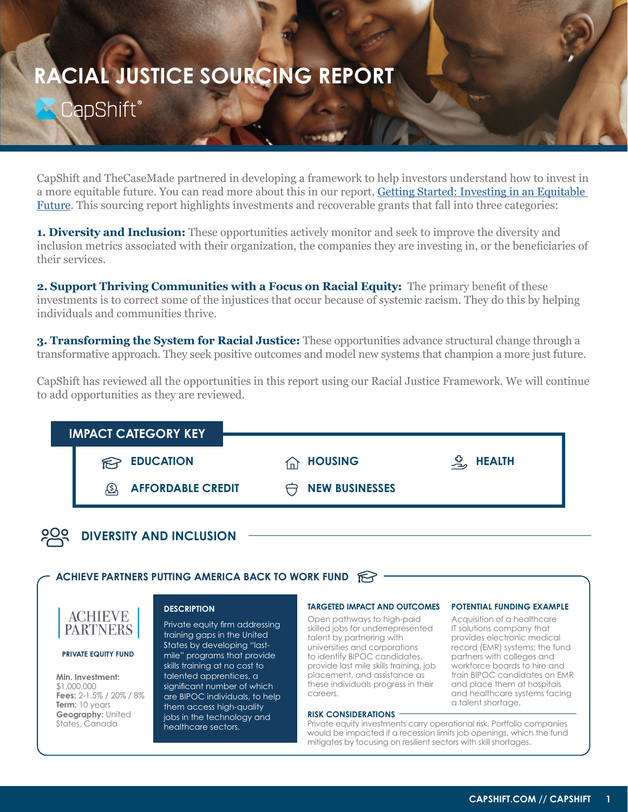# **RACIAL JUSTICE SOURCING REPORT**CapShift®

CapShift and TheCaseMade partnered in developing a framework to help investors understand how to invest in a more equitable future. You can read more about this in our report, [Getting Started: Investing in an Equitable](https://capshift.com/investing-in-racial-justice/)  [Future.](https://capshift.com/investing-in-racial-justice/) This sourcing report highlights investments and recoverable grants that fall into three categories:

**1. Diversity and Inclusion:** These opportunities actively monitor and seek to improve the diversity and inclusion metrics associated with their organization, the companies they are investing in, or the beneficiaries of their services.

**2. Support Thriving Communities with a Focus on Racial Equity:** The primary benefit of these investments is to correct some of the injustices that occur because of systemic racism. They do this by helping individuals and communities thrive.

**3. Transforming the System for Racial Justice:** These opportunities advance structural change through a transformative approach. They seek positive outcomes and model new systems that champion a more just future.

CapShift has reviewed all the opportunities in this report using our Racial Justice Framework. We will continue to add opportunities as they are reviewed.

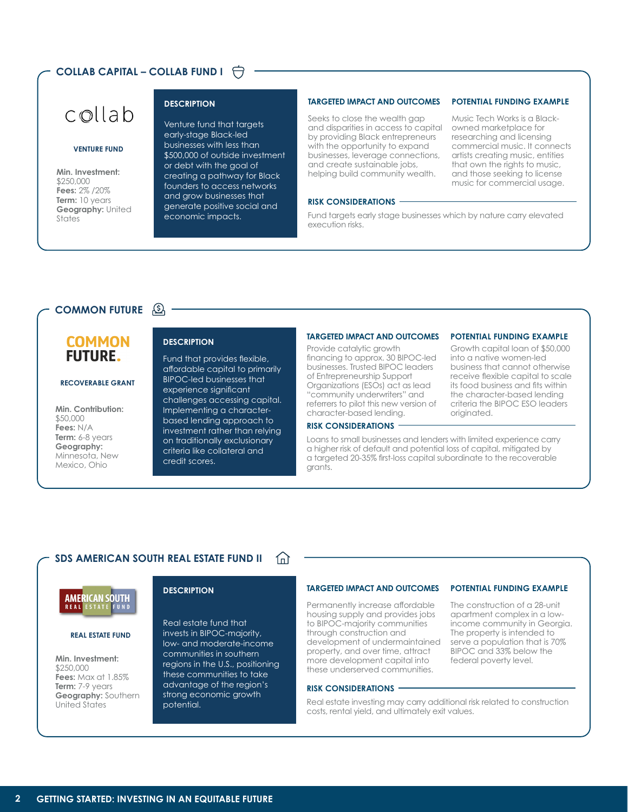# **COLLAB CAPITAL – COLLAB FUND I**



#### **VENTURE FUND**

**Min. Investment:**  \$250,000 **Fees:** 2% /20% **Term:** 10 years **Geography:** United States

# **DESCRIPTION**

Venture fund that targets early-stage Black-led businesses with less than \$500,000 of outside investment or debt with the goal of creating a pathway for Black founders to access networks and grow businesses that generate positive social and economic impacts.

# **TARGETED IMPACT AND OUTCOMES**

Seeks to close the wealth gap and disparities in access to capital by providing Black entrepreneurs with the opportunity to expand businesses, leverage connections, and create sustainable jobs, helping build community wealth.

# **POTENTIAL FUNDING EXAMPLE**

Music Tech Works is a Blackowned marketplace for researching and licensing commercial music. It connects artists creating music, entities that own the rights to music, and those seeking to license music for commercial usage.

# **RISK CONSIDERATIONS**

Fund targets early stage businesses which by nature carry elevated execution risks.

# **COMMON FUTURE**

# **COMMON FUTURE.**

#### **RECOVERABLE GRANT**

**Min. Contribution:**  \$50,000 **Fees:** N/A Term: 6-8 years **Geography:**  Minnesota, New Mexico, Ohio

Fund that provides flexible, affordable capital to primarily BIPOC-led businesses that experience significant challenges accessing capital. Implementing a characterbased lending approach to investment rather than relying on traditionally exclusionary criteria like collateral and credit scores.

## **TARGETED IMPACT AND OUTCOMES**

Provide catalytic growth financing to approx. 30 BIPOC-led businesses. Trusted BIPOC leaders of Entrepreneurship Support Organizations (ESOs) act as lead "community underwriters" and referrers to pilot this new version of character-based lending.

# **POTENTIAL FUNDING EXAMPLE**

**DESCRIPTION** GROUPS CRIPTION CONSIDER THE CONSIDERED INFACT AND OUTCOMES FOTENTIAL FUNDING EXAMPLE<br>Provide catalytic growth Growth capital loan of \$50,000 into a native women-led business that cannot otherwise receive flexible capital to scale its food business and fits within the character-based lending criteria the BIPOC ESO leaders originated.

> The construction of a 28-unit apartment complex in a lowincome community in Georgia. The property is intended to serve a population that is 70% BIPOC and 33% below the federal poverty level.

**POTENTIAL FUNDING EXAMPLE**

# **RISK CONSIDERATIONS**

Loans to small businesses and lenders with limited experience carry a higher risk of default and potential loss of capital, mitigated by a targeted 20-35% first-loss capital subordinate to the recoverable grants.

#### **SDS AMERICAN SOUTH REAL ESTATE FUND II** 仙



#### **REAL ESTATE FUND**

**Min. Investment:**  \$250,000 **Fees:** Max at 1.85% **Term:** 7-9 years **Geography:** Southern United States

# **DESCRIPTION**

Real estate fund that invests in BIPOC-majority, low- and moderate-income communities in southern regions in the U.S., positioning these communities to take advantage of the region's strong economic growth potential.

## **TARGETED IMPACT AND OUTCOMES**

Permanently increase affordable housing supply and provides jobs to BIPOC-majority communities through construction and development of undermaintained property, and over time, attract more development capital into these underserved communities.

### **RISK CONSIDERATIONS**

Real estate investing may carry additional risk related to construction costs, rental yield, and ultimately exit values.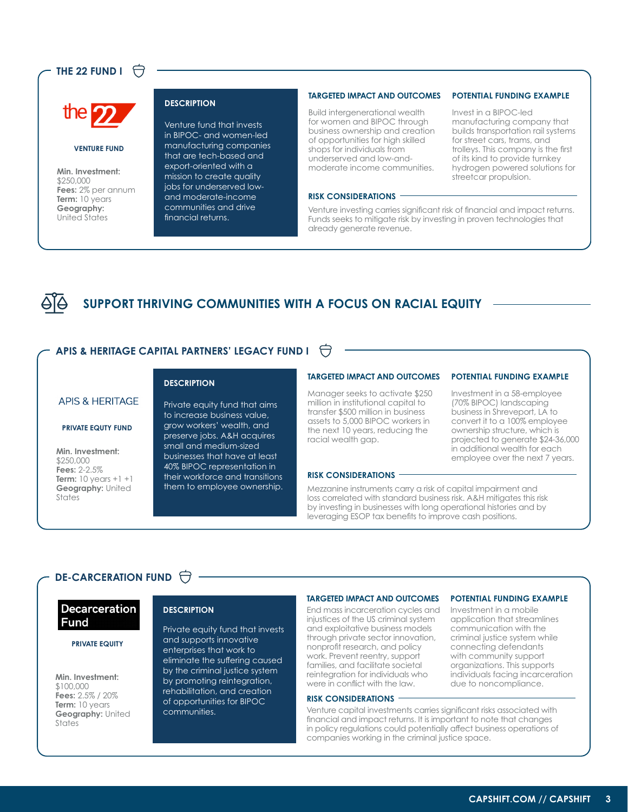# **THE 22 FUND I**  $\Theta$



#### **VENTURE FUND**

**Min. Investment:**  \$250,000 **Fees:** 2% per annum **Term:** 10 years **Geography:**  United States

#### **DESCRIPTION**

Venture fund that invests in BIPOC- and women-led manufacturing companies that are tech-based and export-oriented with a mission to create quality jobs for underserved lowand moderate-income communities and drive financial returns.

# **TARGETED IMPACT AND OUTCOMES**

Build intergenerational wealth for women and BIPOC through business ownership and creation of opportunities for high skilled shops for individuals from underserved and low-andmoderate income communities.

# **RISK CONSIDERATIONS**

Invest in a BIPOC-led

**POTENTIAL FUNDING EXAMPLE**

manufacturing company that builds transportation rail systems for street cars, trams, and trolleys. This company is the first of its kind to provide turnkey hydrogen powered solutions for streetcar propulsion.

Investment in a 58-employee (70% BIPOC) landscaping business in Shreveport, LA to convert it to a 100% employee ownership structure, which is projected to generate \$24-36,000 in additional wealth for each employee over the next 7 years.

application that streamlines communication with the criminal justice system while connecting defendants with community support organizations. This supports individuals facing incarceration due to noncompliance.

**POTENTIAL FUNDING EXAMPLE**

**POTENTIAL FUNDING EXAMPLE**

Venture investing carries significant risk of financial and impact returns. Funds seeks to mitigate risk by investing in proven technologies that already generate revenue.

# **SUPPORT THRIVING COMMUNITIES WITH A FOCUS ON RACIAL EQUITY**

# **APIS & HERITAGE CAPITAL PARTNERS' LEGACY FUND I**

# **APIS & HERITAGE**

# **PRIVATE EQUTY FUND**

**Min. Investment:**  \$250,000 **Fees:** 2-2.5% **Term:** 10 years +1 +1 **Geography:** United States

# **DESCRIPTION**

Private equity fund that aims to increase business value, grow workers' wealth, and preserve jobs. A&H acquires small and medium-sized businesses that have at least 40% BIPOC representation in their workforce and transitions them to employee ownership.

# **TARGETED IMPACT AND OUTCOMES**

Manager seeks to activate \$250 million in institutional capital to transfer \$500 million in business assets to 5,000 BIPOC workers in the next 10 years, reducing the racial wealth gap.

# **RISK CONSIDERATIONS**

Mezzanine instruments carry a risk of capital impairment and loss correlated with standard business risk. A&H mitigates this risk by investing in businesses with long operational histories and by leveraging ESOP tax benefits to improve cash positions.

# **DE-CARCERATION FUND**

# **Decarceration Fund**

# **PRIVATE EQUITY**

**Min. Investment:**  \$100,000 **Fees:** 2.5% / 20% **Term:** 10 years **Geography:** United **States** 

Private equity fund that invests and supports innovative enterprises that work to eliminate the suffering caused by the criminal justice system by promoting reintegration, rehabilitation, and creation of opportunities for BIPOC communities.

#### **TARGETED IMPACT AND OUTCOMES**

**DESCRIPTION Industrial End mass incarceration cycles and Investment in a mobile** injustices of the US criminal system and exploitative business models through private sector innovation, nonprofit research, and policy work. Prevent reentry, support families, and facilitate societal reintegration for individuals who were in conflict with the law.

### **RISK CONSIDERATIONS**

Venture capital investments carries significant risks associated with financial and impact returns. It is important to note that changes in policy regulations could potentially affect business operations of companies working in the criminal justice space.

# **11 [CAPSHIFT.COM // CAPSHIFT](https://capshift.com/) 3**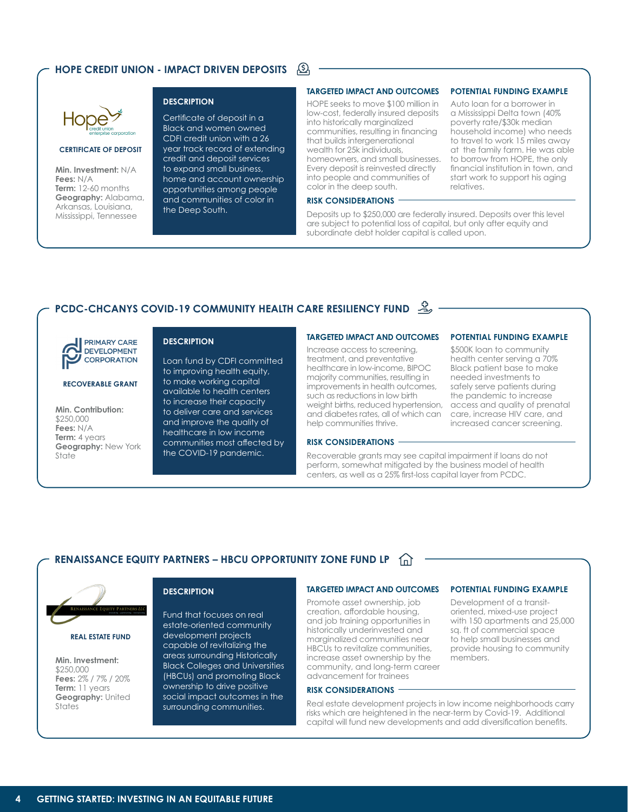#### <u>යි</u> **HOPE CREDIT UNION - IMPACT DRIVEN DEPOSITS**



# **CERTIFICATE OF DEPOSIT**

**Min. Investment:** N/A **Fees:** N/A **Term:** 12-60 months **Geography:** Alabama, Arkansas, Louisiana, Mississippi, Tennessee

Certificate of deposit in a Black and women owned CDFI credit union with a 26 year track record of extending credit and deposit services to expand small business, home and account ownership opportunities among people and communities of color in the Deep South.

# **TARGETED IMPACT AND OUTCOMES**

**DESCRIPTION Automage 100 Million in Auto loan for a borrower in** low-cost, federally insured deposits into historically marginalized communities, resulting in financing that builds intergenerational wealth for 25k individuals, homeowners, and small businesses. Every deposit is reinvested directly into people and communities of color in the deep south.

### **RISK CONSIDERATIONS**

**POTENTIAL FUNDING EXAMPLE**

a Mississippi Delta town (40% poverty rate/\$30k median household income) who needs to travel to work 15 miles away at the family farm. He was able to borrow from HOPE, the only financial institution in town, and start work to support his aging relatives.

Deposits up to \$250,000 are federally insured. Deposits over this level are subject to potential loss of capital, but only after equity and subordinate debt holder capital is called upon.

# **PCDC-CHCANYS COVID-19 COMMUNITY HEALTH CARE RESILIENCY FUND**



# **RECOVERABLE GRANT**

**Min. Contribution:**  \$250,000 **Fees:** N/A **Term:** 4 years **Geography:** New York State

# **DESCRIPTION**

Loan fund by CDFI committed to improving health equity, to make working capital available to health centers to increase their capacity to deliver care and services and improve the quality of healthcare in low income communities most affected by the COVID-19 pandemic.

### **TARGETED IMPACT AND OUTCOMES**

Increase access to screening, treatment, and preventative healthcare in low-income, BIPOC majority communities, resulting in improvements in health outcomes, such as reductions in low birth weight births, reduced hypertension, and diabetes rates, all of which can help communities thrive.

# **RISK CONSIDERATIONS**

Recoverable grants may see capital impairment if loans do not perform, somewhat mitigated by the business model of health centers, as well as a 25% first-loss capital layer from PCDC.

# **RENAISSANCE EQUITY PARTNERS – HBCU OPPORTUNITY ZONE FUND LP**



**REAL ESTATE FUND**

**Min. Investment:**  \$250,000 **Fees:** 2% / 7% / 20% **Term:** 11 years **Geography:** United **States** 

# **DESCRIPTION**

Fund that focuses on real estate-oriented community development projects capable of revitalizing the areas surrounding Historically Black Colleges and Universities (HBCUs) and promoting Black ownership to drive positive social impact outcomes in the surrounding communities.

#### **TARGETED IMPACT AND OUTCOMES**

Promote asset ownership, job creation, affordable housing, and job training opportunities in historically underinvested and marginalized communities near HBCUs to revitalize communities, increase asset ownership by the community, and long-term career advancement for trainees

#### **RISK CONSIDERATIONS**

Real estate development projects in low income neighborhoods carry risks which are heightened in the near-term by Covid-19. Additional capital will fund new developments and add diversification benefits.

members.

Development of a transitoriented, mixed-use project with 150 apartments and 25,000 sq. ft of commercial space to help small businesses and provide housing to community

\$500K loan to community health center serving a 70% Black patient base to make needed investments to safely serve patients during the pandemic to increase access and quality of prenatal care, increase HIV care, and increased cancer screening.

**POTENTIAL FUNDING EXAMPLE**

**POTENTIAL FUNDING EXAMPLE**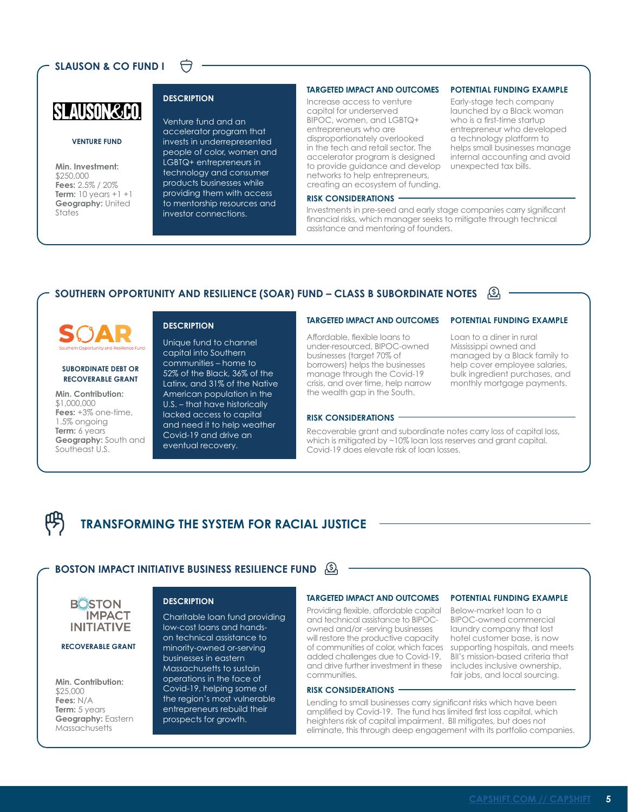# **SLAUSON & CO FUND I**



# **VENTURE FUND**

**Min. Investment:**  \$250,000 **Fees:** 2.5% / 20% **Term:** 10 years +1 +1 **Geography:** United **States** 

Venture fund and an accelerator program that invests in underrepresented people of color, women and LGBTQ+ entrepreneurs in technology and consumer products businesses while providing them with access to mentorship resources and investor connections.

# **TARGETED IMPACT AND OUTCOMES**

**DESCRIPTION** EXAMPLE IN THE CONSTRUCTION EXAMPLE TO THE CONSTRUCT ON THE CONSTRUCTION EXAMPLE TO THE CONSTRUCT ON THE CONSTRUCTION OF THE CONSTRUCTION OF THE CONSTRUCTION OF THE CONSTRUCTION OF THE CONSTRUCTION OF THE CON Increase access to venture capital for underserved BIPOC, women, and LGBTQ+ entrepreneurs who are disproportionately overlooked in the tech and retail sector. The accelerator program is designed to provide guidance and develop networks to help entrepreneurs, creating an ecosystem of funding.

#### **RISK CONSIDERATIONS**

Investments in pre-seed and early stage companies carry significant financial risks, which manager seeks to mitigate through technical assistance and mentoring of founders.

# **SOUTHERN OPPORTUNITY AND RESILIENCE (SOAR) FUND – CLASS B SUBORDINATE NOTES**



# **SUBORDINATE DEBT OR RECOVERABLE GRANT**

**Min. Contribution:**  \$1,000,000 **Fees:** +3% one-time, 1.5% ongoing **Term:** 6 years **Geography:** South and Southeast U.S.

# **DESCRIPTION**

Unique fund to channel capital into Southern communities – home to 52% of the Black, 36% of the Latinx, and 31% of the Native American population in the U.S. – that have historically lacked access to capital and need it to help weather Covid-19 and drive an eventual recovery.

# **TARGETED IMPACT AND OUTCOMES**

Affordable, flexible loans to under-resourced, BIPOC-owned businesses (target 70% of borrowers) helps the businesses manage through the Covid-19 crisis, and over time, help narrow the wealth gap in the South.

### **RISK CONSIDERATIONS**

Recoverable grant and subordinate notes carry loss of capital loss, which is mitigated by ~10% loan loss reserves and grant capital. Covid-19 does elevate risk of loan losses.

# **TRANSFORMING THE SYSTEM FOR RACIAL JUSTICE**

# **BOSTON IMPACT INITIATIVE BUSINESS RESILIENCE FUND**

**BOSTON IMPACT INITIATIVE** 

### **RECOVERABLE GRANT**

**Min. Contribution:**  \$25,000 **Fees:** N/A **Term:** 5 years **Geography:** Eastern **Massachusetts** 

## **DESCRIPTION**

Charitable loan fund providing low-cost loans and handson technical assistance to minority-owned or-serving businesses in eastern Massachusetts to sustain operations in the face of Covid-19, helping some of the region's most vulnerable entrepreneurs rebuild their prospects for growth.

#### **TARGETED IMPACT AND OUTCOMES**

Providing flexible, affordable capital and technical assistance to BIPOCowned and/or -serving businesses will restore the productive capacity of communities of color, which faces added challenges due to Covid-19, and drive further investment in these communities.

#### **RISK CONSIDERATIONS**

Lending to small businesses carry significant risks which have been amplified by Covid-19. The fund has limited first loss capital, which heightens risk of capital impairment. BII mitigates, but does not eliminate, this through deep engagement with its portfolio companies.

# **POTENTIAL FUNDING EXAMPLE**

launched by a Black woman who is a first-time startup entrepreneur who developed a technology platform to helps small businesses manage internal accounting and avoid

**POTENTIAL FUNDING EXAMPLE**

unexpected tax bills.

Loan to a diner in rural Mississippi owned and managed by a Black family to help cover employee salaries, bulk ingredient purchases, and monthly mortgage payments.

Below-market loan to a BIPOC-owned commercial laundry company that lost hotel customer base, is now supporting hospitals, and meets BII's mission-based criteria that includes inclusive ownership, fair jobs, and local sourcing.

**POTENTIAL FUNDING EXAMPLE**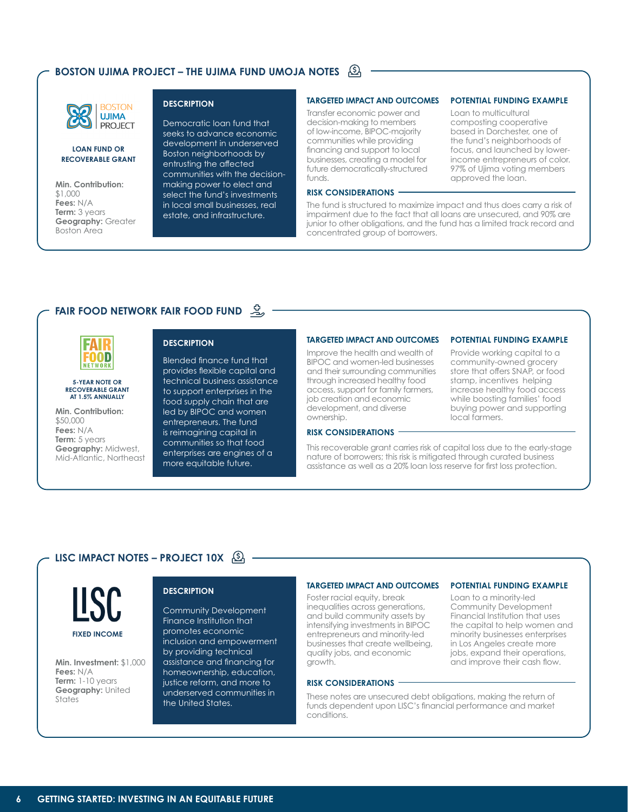# **BOSTON UJIMA PROJECT – THE UJIMA FUND UMOJA NOTES**



# **LOAN FUND OR RECOVERABLE GRANT**

**Min. Contribution:**  \$1,000 **Fees:** N/A **Term: 3 years Geography:** Greater Boston Area

# **DESCRIPTION**

Democratic loan fund that seeks to advance economic development in underserved Boston neighborhoods by entrusting the affected communities with the decisionmaking power to elect and select the fund's investments in local small businesses, real estate, and infrastructure.

# **TARGETED IMPACT AND OUTCOMES**

Transfer economic power and decision-making to members of low-income, BIPOC-majority communities while providing financing and support to local businesses, creating a model for future democratically-structured funds.

# **RISK CONSIDERATIONS**

The fund is structured to maximize impact and thus does carry a risk of impairment due to the fact that all loans are unsecured, and 90% are junior to other obligations, and the fund has a limited track record and concentrated group of borrowers.

# **FAIR FOOD NETWORK FAIR FOOD FUND**



#### **5-YEAR NOTE OR RECOVERABLE GRANT AT 1.5% ANNUALLY**

**Min. Contribution:**  \$50,000 **Fees:** N/A **Term:** 5 years **Geography:** Midwest, Mid-Atlantic, Northeast

# **DESCRIPTION**

Blended finance fund that provides flexible capital and technical business assistance to support enterprises in the food supply chain that are led by BIPOC and women entrepreneurs. The fund is reimagining capital in communities so that food enterprises are engines of a more equitable future.

# **TARGETED IMPACT AND OUTCOMES POTENTIAL FUNDING EXAMPLE**

Improve the health and wealth of BIPOC and women-led businesses and their surrounding communities through increased healthy food access, support for family farmers, job creation and economic development, and diverse ownership.

## **RISK CONSIDERATIONS**

This recoverable grant carries risk of capital loss due to the early-stage nature of borrowers; this risk is mitigated through curated business

assistance as well as a 20% loan loss reserve for first loss protection.

local farmers.

Provide working capital to a community-owned grocery store that offers SNAP, or food stamp, incentives helping increase healthy food access while boosting families' food buying power and supporting

Community Development Financial Institution that uses the capital to help women and minority businesses enterprises in Los Angeles create more jobs, expand their operations, and improve their cash flow.

**POTENTIAL FUNDING EXAMPLE**

Loan to multicultural composting cooperative based in Dorchester, one of the fund's neighborhoods of focus, and launched by lowerincome entrepreneurs of color. 97% of Ujima voting members

**POTENTIAL FUNDING EXAMPLE**

approved the loan.

# **LISC IMPACT NOTES – PROJECT 10X**



**Min. Investment:** \$1,000 **Fees:** N/A **Term:** 1-10 years **Geography:** United States

Community Development Finance Institution that promotes economic inclusion and empowerment by providing technical assistance and financing for homeownership, education, justice reform, and more to underserved communities in the United States.

#### **TARGETED IMPACT AND OUTCOMES**

**DESCRIPTION**<br>
Foster racial equity, break Loan to a minority-led inequalities across generations, and build community assets by intensifying investments in BIPOC entrepreneurs and minority-led businesses that create wellbeing, quality jobs, and economic growth.

# **RISK CONSIDERATIONS**

These notes are unsecured debt obligations, making the return of funds dependent upon LISC's financial performance and market conditions.